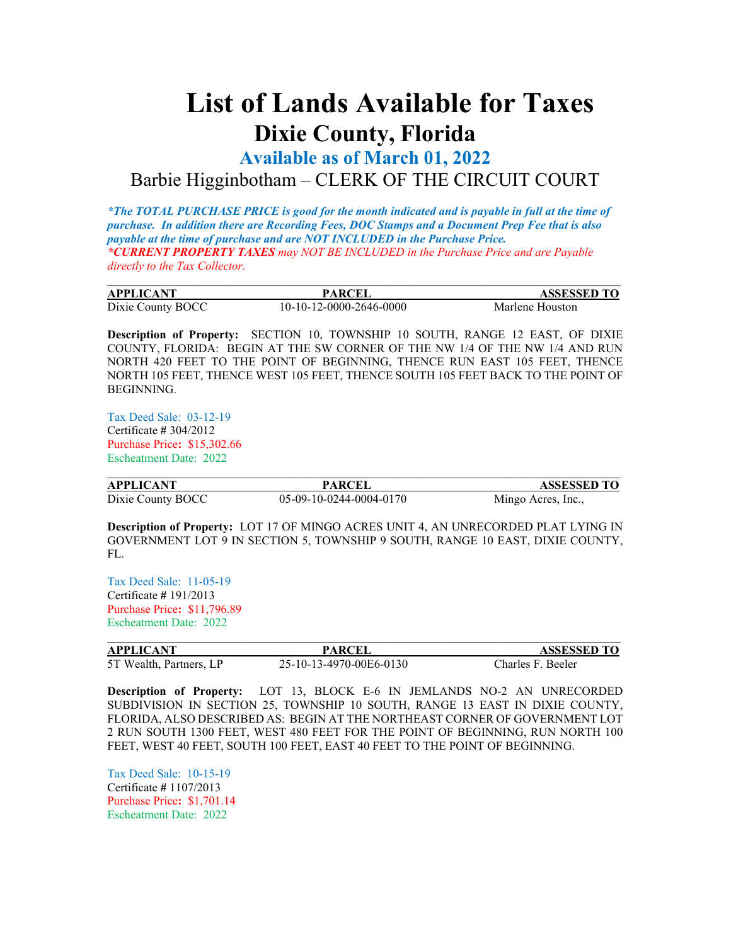## **List of Lands Available for Taxes Dixie County, Florida**

**Available as of March 01, 2022**

Barbie Higginbotham – CLERK OF THE CIRCUIT COURT

*\*The TOTAL PURCHASE PRICE is good for the month indicated and is payable in full at the time of purchase. In addition there are Recording Fees, DOC Stamps and a Document Prep Fee that is also payable at the time of purchase and are NOT INCLUDED in the Purchase Price. \*CURRENT PROPERTY TAXES may NOT BE INCLUDED in the Purchase Price and are Payable directly to the Tax Collector.*

| <b>APPLICANT</b>  | <b>PARCEI</b>           | <b>ASSESSED TO</b> |
|-------------------|-------------------------|--------------------|
| Dixie County BOCC | 10-10-12-0000-2646-0000 | Marlene Houston    |

**Description of Property:** SECTION 10, TOWNSHIP 10 SOUTH, RANGE 12 EAST, OF DIXIE COUNTY, FLORIDA: BEGIN AT THE SW CORNER OF THE NW 1/4 OF THE NW 1/4 AND RUN NORTH 420 FEET TO THE POINT OF BEGINNING, THENCE RUN EAST 105 FEET, THENCE NORTH 105 FEET, THENCE WEST 105 FEET, THENCE SOUTH 105 FEET BACK TO THE POINT OF BEGINNING.

Tax Deed Sale: 03-12-19 Certificate **#** 304/2012 Purchase Price**:** \$15,302.66 Escheatment Date: 2022

| <b>APPLICANT</b>  | <b>PARCEL</b>           | <b>ASSESSED TO</b> |
|-------------------|-------------------------|--------------------|
| Dixie County BOCC | 05-09-10-0244-0004-0170 | Mingo Acres, Inc., |

**Description of Property:** LOT 17 OF MINGO ACRES UNIT 4, AN UNRECORDED PLAT LYING IN GOVERNMENT LOT 9 IN SECTION 5, TOWNSHIP 9 SOUTH, RANGE 10 EAST, DIXIE COUNTY, FL.

Tax Deed Sale: 11-05-19 Certificate **#** 191/2013 Purchase Price**:** \$11,796.89 Escheatment Date: 2022

| <b>APPLICANT</b>        | <b>PARCEI</b>           | <b>ASSESSED TO</b> |
|-------------------------|-------------------------|--------------------|
| 5T Wealth, Partners, LP | 25-10-13-4970-00E6-0130 | Charles F. Beeler  |

**Description of Property:** LOT 13, BLOCK E-6 IN JEMLANDS NO-2 AN UNRECORDED SUBDIVISION IN SECTION 25, TOWNSHIP 10 SOUTH, RANGE 13 EAST IN DIXIE COUNTY, FLORIDA, ALSO DESCRIBED AS: BEGIN AT THE NORTHEAST CORNER OF GOVERNMENT LOT 2 RUN SOUTH 1300 FEET, WEST 480 FEET FOR THE POINT OF BEGINNING, RUN NORTH 100 FEET, WEST 40 FEET, SOUTH 100 FEET, EAST 40 FEET TO THE POINT OF BEGINNING.

Tax Deed Sale: 10-15-19 Certificate **#** 1107/2013 Purchase Price**:** \$1,701.14 Escheatment Date: 2022